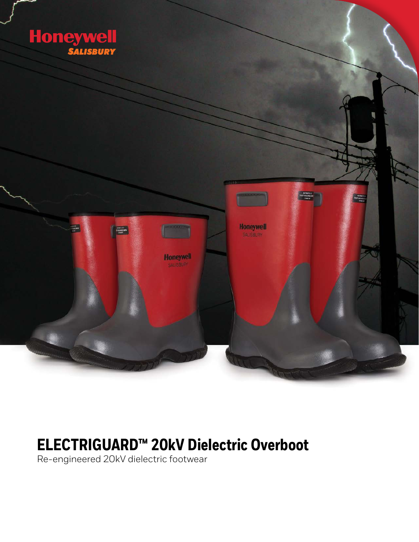

# **ELECTRIGUARD™ 20kV Dielectric Overboot**

Re-engineered 20kV dielectric footwear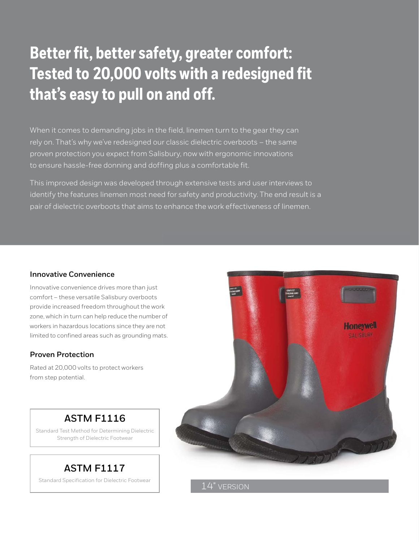# **Better fit, better safety, greater comfort: Tested to 20,000 volts with a redesigned fit that's easy to pull on and off.**

When it comes to demanding jobs in the field, linemen turn to the gear they can rely on. That's why we've redesigned our classic dielectric overboots – the same proven protection you expect from Salisbury, now with ergonomic innovations to ensure hassle-free donning and doffing plus a comfortable fit.

This improved design was developed through extensive tests and user interviews to identify the features linemen most need for safety and productivity. The end result is a pair of dielectric overboots that aims to enhance the work effectiveness of linemen.

#### **Innovative Convenience**

Innovative convenience drives more than just comfort – these versatile Salisbury overboots provide increased freedom throughout the work zone, which in turn can help reduce the number of workers in hazardous locations since they are not limited to confined areas such as grounding mats.

#### **Proven Protection**

Rated at 20,000 volts to protect workers from step potential.



## **ASTM F1116**

Standard Test Method for Determining Dielectric Strength of Dielectric Footwear

# **ASTM F1117**

Standard Specification for Dielectric Footwear

14" VERSION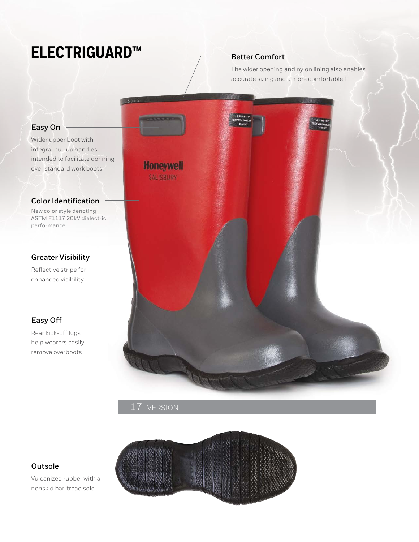# **ELECTRIGUARD™**

## **Better Comfort**

The wider opening and nylon lining also enables accurate sizing and a more comfortable fit



## 17" VERSION



### **Outsole**

Vulcanized rubber with a nonskid bar-tread sole

# **Easy On**

Wider upper boot with integral pull up handles intended to facilitate donning over standard work boots

### **Color Identification**

New color style denoting ASTM F1117 20kV dielectric performance

## **Greater Visibility**

Reflective stripe for enhanced visibility

### **Easy Off**

Rear kick-off lugs help wearers easily remove overboots